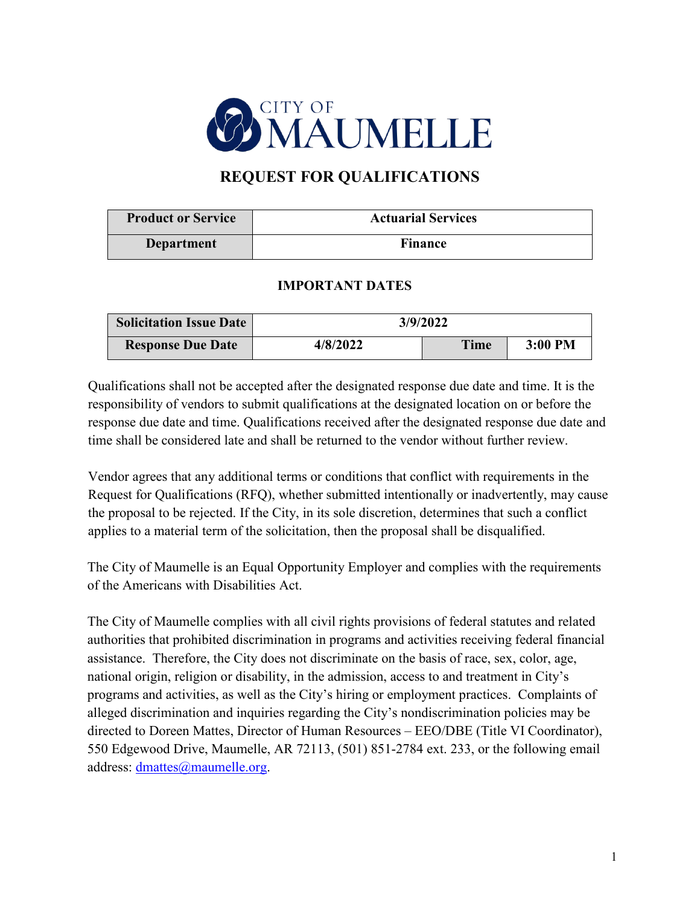

# **REQUEST FOR QUALIFICATIONS**

| <b>Product or Service</b> | <b>Actuarial Services</b> |  |
|---------------------------|---------------------------|--|
| Department                | <b>Finance</b>            |  |

#### **IMPORTANT DATES**

| <b>Solicitation Issue Date</b> | 3/9/2022 |             |         |
|--------------------------------|----------|-------------|---------|
| <b>Response Due Date</b>       | 4/8/2022 | <b>Time</b> | 3:00 PM |

Qualifications shall not be accepted after the designated response due date and time. It is the responsibility of vendors to submit qualifications at the designated location on or before the response due date and time. Qualifications received after the designated response due date and time shall be considered late and shall be returned to the vendor without further review.

Vendor agrees that any additional terms or conditions that conflict with requirements in the Request for Qualifications (RFQ), whether submitted intentionally or inadvertently, may cause the proposal to be rejected. If the City, in its sole discretion, determines that such a conflict applies to a material term of the solicitation, then the proposal shall be disqualified.

The City of Maumelle is an Equal Opportunity Employer and complies with the requirements of the Americans with Disabilities Act.

The City of Maumelle complies with all civil rights provisions of federal statutes and related authorities that prohibited discrimination in programs and activities receiving federal financial assistance. Therefore, the City does not discriminate on the basis of race, sex, color, age, national origin, religion or disability, in the admission, access to and treatment in City's programs and activities, as well as the City's hiring or employment practices. Complaints of alleged discrimination and inquiries regarding the City's nondiscrimination policies may be directed to Doreen Mattes, Director of Human Resources – EEO/DBE (Title VI Coordinator), 550 Edgewood Drive, Maumelle, AR 72113, (501) 851-2784 ext. 233, or the following email address: [dmattes@maumelle.org.](mailto:dmattes@maumelle.org)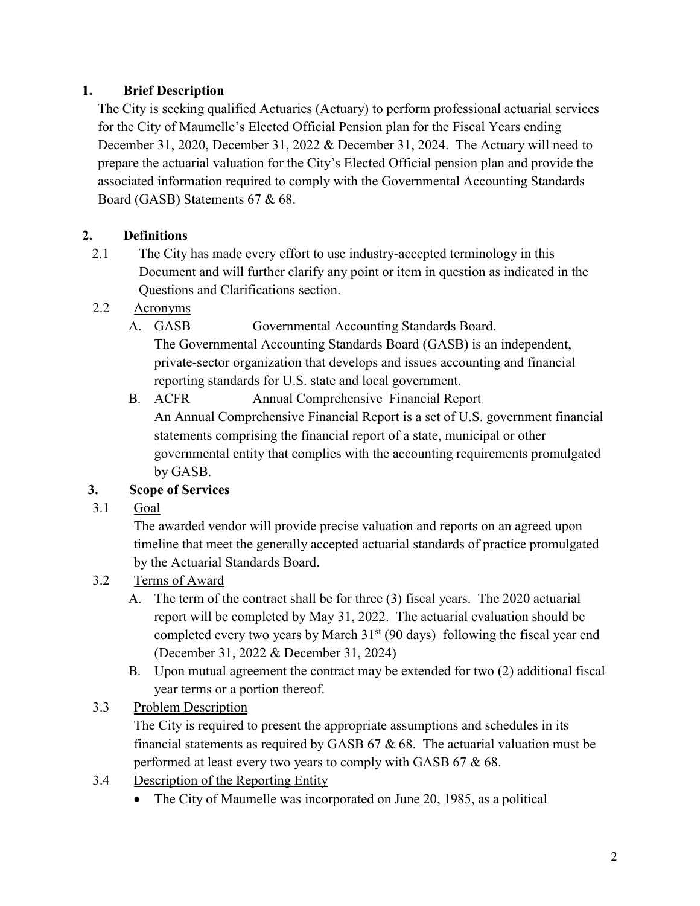## **1. Brief Description**

The City is seeking qualified Actuaries (Actuary) to perform professional actuarial services for the City of Maumelle's Elected Official Pension plan for the Fiscal Years ending December 31, 2020, December 31, 2022 & December 31, 2024. The Actuary will need to prepare the actuarial valuation for the City's Elected Official pension plan and provide the associated information required to comply with the Governmental Accounting Standards Board (GASB) Statements 67 & 68.

# **2. Definitions**

- 2.1 The City has made every effort to use industry-accepted terminology in this Document and will further clarify any point or item in question as indicated in the Questions and Clarifications section.
- 2.2 Acronyms
	- A. GASB Governmental Accounting Standards Board. The Governmental Accounting Standards Board (GASB) is an independent, private-sector organization that develops and issues accounting and financial reporting standards for U.S. state and local government.
	- B. ACFR Annual Comprehensive Financial Report An Annual Comprehensive Financial Report is a set of U.S. government financial statements comprising the financial report of a state, municipal or other governmental entity that complies with the accounting requirements promulgated by GASB.

# **3. Scope of Services**

3.1 Goal

The awarded vendor will provide precise valuation and reports on an agreed upon timeline that meet the generally accepted actuarial standards of practice promulgated by the Actuarial Standards Board.

- 3.2 Terms of Award
	- A. The term of the contract shall be for three (3) fiscal years. The 2020 actuarial report will be completed by May 31, 2022. The actuarial evaluation should be completed every two years by March  $31<sup>st</sup>$  (90 days) following the fiscal year end (December 31, 2022 & December 31, 2024)
	- B. Upon mutual agreement the contract may be extended for two (2) additional fiscal year terms or a portion thereof.

# 3.3 Problem Description

The City is required to present the appropriate assumptions and schedules in its financial statements as required by GASB  $67 & 68$ . The actuarial valuation must be performed at least every two years to comply with GASB 67 & 68.

- 3.4 Description of the Reporting Entity
	- The City of Maumelle was incorporated on June 20, 1985, as a political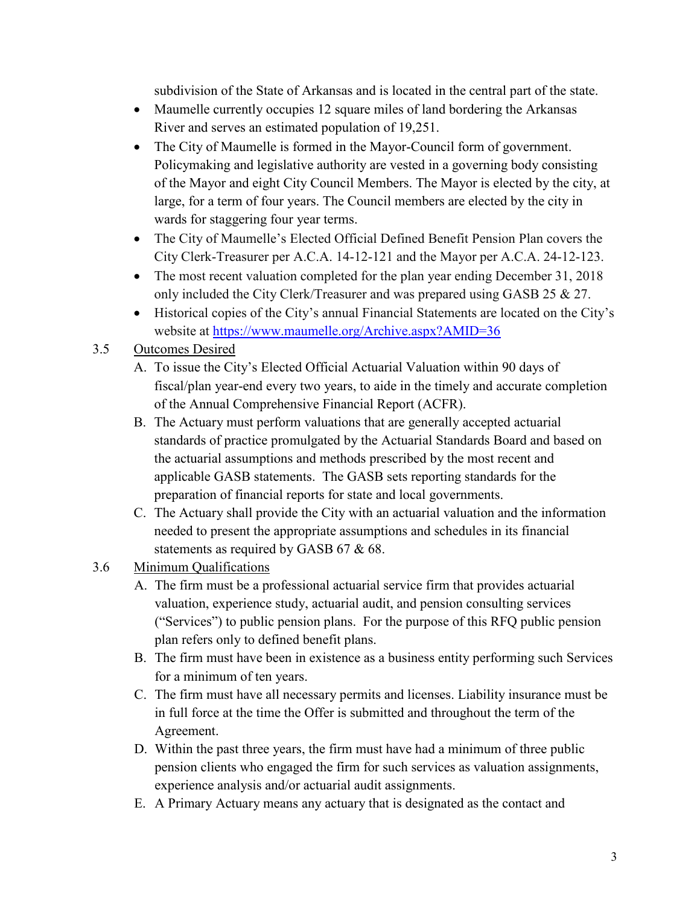subdivision of the State of Arkansas and is located in the central part of the state.

- Maumelle currently occupies 12 square miles of land bordering the Arkansas River and serves an estimated population of 19,251.
- The City of Maumelle is formed in the Mayor-Council form of government. Policymaking and legislative authority are vested in a governing body consisting of the Mayor and eight City Council Members. The Mayor is elected by the city, at large, for a term of four years. The Council members are elected by the city in wards for staggering four year terms.
- The City of Maumelle's Elected Official Defined Benefit Pension Plan covers the City Clerk-Treasurer per A.C.A. 14-12-121 and the Mayor per A.C.A. 24-12-123.
- The most recent valuation completed for the plan year ending December 31, 2018 only included the City Clerk/Treasurer and was prepared using GASB 25 & 27.
- Historical copies of the City's annual Financial Statements are located on the City's website at<https://www.maumelle.org/Archive.aspx?AMID=36>

# 3.5 Outcomes Desired

- A. To issue the City's Elected Official Actuarial Valuation within 90 days of fiscal/plan year-end every two years, to aide in the timely and accurate completion of the Annual Comprehensive Financial Report (ACFR).
- B. The Actuary must perform valuations that are generally accepted actuarial standards of practice promulgated by the Actuarial Standards Board and based on the actuarial assumptions and methods prescribed by the most recent and applicable GASB statements. The GASB sets reporting standards for the preparation of financial reports for state and local governments.
- C. The Actuary shall provide the City with an actuarial valuation and the information needed to present the appropriate assumptions and schedules in its financial statements as required by GASB 67 & 68.

### 3.6 Minimum Qualifications

- A. The firm must be a professional actuarial service firm that provides actuarial valuation, experience study, actuarial audit, and pension consulting services ("Services") to public pension plans. For the purpose of this RFQ public pension plan refers only to defined benefit plans.
- B. The firm must have been in existence as a business entity performing such Services for a minimum of ten years.
- C. The firm must have all necessary permits and licenses. Liability insurance must be in full force at the time the Offer is submitted and throughout the term of the Agreement.
- D. Within the past three years, the firm must have had a minimum of three public pension clients who engaged the firm for such services as valuation assignments, experience analysis and/or actuarial audit assignments.
- E. A Primary Actuary means any actuary that is designated as the contact and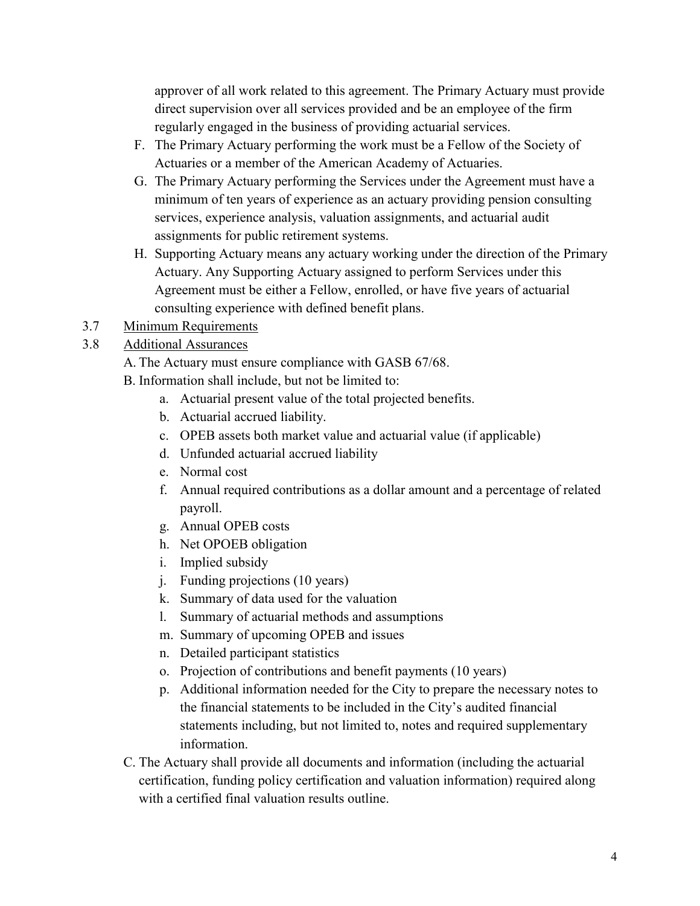approver of all work related to this agreement. The Primary Actuary must provide direct supervision over all services provided and be an employee of the firm regularly engaged in the business of providing actuarial services.

- F. The Primary Actuary performing the work must be a Fellow of the Society of Actuaries or a member of the American Academy of Actuaries.
- G. The Primary Actuary performing the Services under the Agreement must have a minimum of ten years of experience as an actuary providing pension consulting services, experience analysis, valuation assignments, and actuarial audit assignments for public retirement systems.
- H. Supporting Actuary means any actuary working under the direction of the Primary Actuary. Any Supporting Actuary assigned to perform Services under this Agreement must be either a Fellow, enrolled, or have five years of actuarial consulting experience with defined benefit plans.
- 3.7 Minimum Requirements
- 3.8 Additional Assurances
	- A. The Actuary must ensure compliance with GASB 67/68.
	- B. Information shall include, but not be limited to:
		- a. Actuarial present value of the total projected benefits.
		- b. Actuarial accrued liability.
		- c. OPEB assets both market value and actuarial value (if applicable)
		- d. Unfunded actuarial accrued liability
		- e. Normal cost
		- f. Annual required contributions as a dollar amount and a percentage of related payroll.
		- g. Annual OPEB costs
		- h. Net OPOEB obligation
		- i. Implied subsidy
		- j. Funding projections (10 years)
		- k. Summary of data used for the valuation
		- l. Summary of actuarial methods and assumptions
		- m. Summary of upcoming OPEB and issues
		- n. Detailed participant statistics
		- o. Projection of contributions and benefit payments (10 years)
		- p. Additional information needed for the City to prepare the necessary notes to the financial statements to be included in the City's audited financial statements including, but not limited to, notes and required supplementary information.
	- C. The Actuary shall provide all documents and information (including the actuarial certification, funding policy certification and valuation information) required along with a certified final valuation results outline.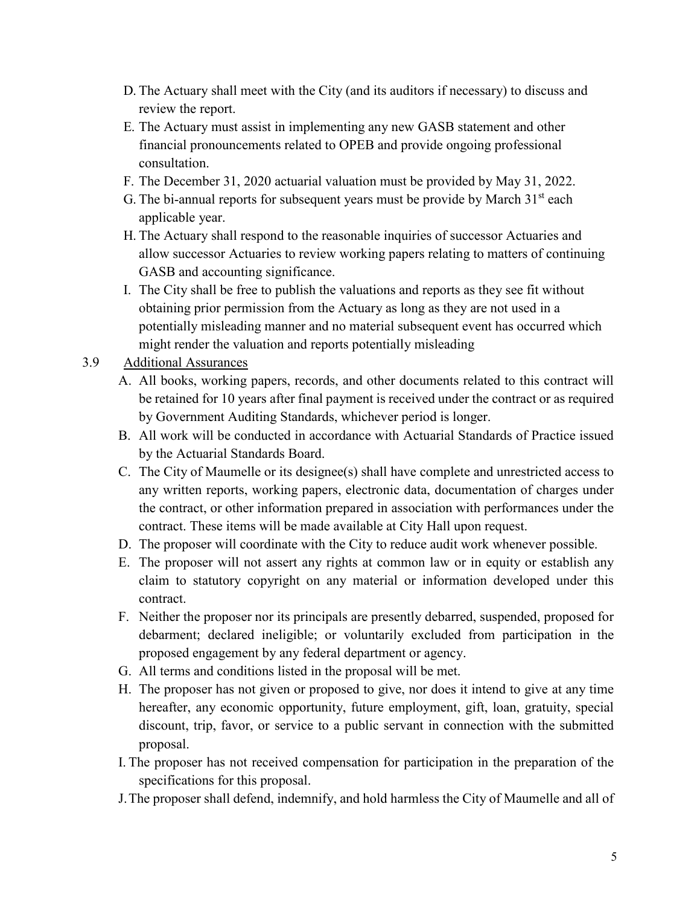- D. The Actuary shall meet with the City (and its auditors if necessary) to discuss and review the report.
- E. The Actuary must assist in implementing any new GASB statement and other financial pronouncements related to OPEB and provide ongoing professional consultation.
- F. The December 31, 2020 actuarial valuation must be provided by May 31, 2022.
- G. The bi-annual reports for subsequent years must be provide by March  $31<sup>st</sup>$  each applicable year.
- H. The Actuary shall respond to the reasonable inquiries of successor Actuaries and allow successor Actuaries to review working papers relating to matters of continuing GASB and accounting significance.
- I. The City shall be free to publish the valuations and reports as they see fit without obtaining prior permission from the Actuary as long as they are not used in a potentially misleading manner and no material subsequent event has occurred which might render the valuation and reports potentially misleading
- 3.9 Additional Assurances
	- A. All books, working papers, records, and other documents related to this contract will be retained for 10 years after final payment is received under the contract or as required by Government Auditing Standards, whichever period is longer.
	- B. All work will be conducted in accordance with Actuarial Standards of Practice issued by the Actuarial Standards Board.
	- C. The City of Maumelle or its designee(s) shall have complete and unrestricted access to any written reports, working papers, electronic data, documentation of charges under the contract, or other information prepared in association with performances under the contract. These items will be made available at City Hall upon request.
	- D. The proposer will coordinate with the City to reduce audit work whenever possible.
	- E. The proposer will not assert any rights at common law or in equity or establish any claim to statutory copyright on any material or information developed under this contract.
	- F. Neither the proposer nor its principals are presently debarred, suspended, proposed for debarment; declared ineligible; or voluntarily excluded from participation in the proposed engagement by any federal department or agency.
	- G. All terms and conditions listed in the proposal will be met.
	- H. The proposer has not given or proposed to give, nor does it intend to give at any time hereafter, any economic opportunity, future employment, gift, loan, gratuity, special discount, trip, favor, or service to a public servant in connection with the submitted proposal.
	- I. The proposer has not received compensation for participation in the preparation of the specifications for this proposal.
	- J.The proposer shall defend, indemnify, and hold harmless the City of Maumelle and all of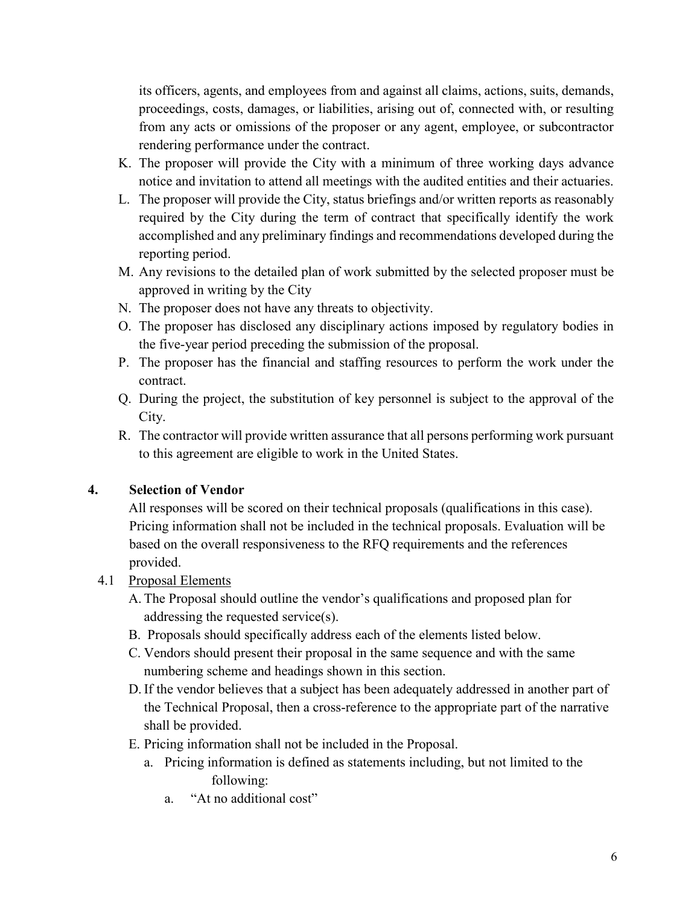its officers, agents, and employees from and against all claims, actions, suits, demands, proceedings, costs, damages, or liabilities, arising out of, connected with, or resulting from any acts or omissions of the proposer or any agent, employee, or subcontractor rendering performance under the contract.

- K. The proposer will provide the City with a minimum of three working days advance notice and invitation to attend all meetings with the audited entities and their actuaries.
- L. The proposer will provide the City, status briefings and/or written reports as reasonably required by the City during the term of contract that specifically identify the work accomplished and any preliminary findings and recommendations developed during the reporting period.
- M. Any revisions to the detailed plan of work submitted by the selected proposer must be approved in writing by the City
- N. The proposer does not have any threats to objectivity.
- O. The proposer has disclosed any disciplinary actions imposed by regulatory bodies in the five-year period preceding the submission of the proposal.
- P. The proposer has the financial and staffing resources to perform the work under the contract.
- Q. During the project, the substitution of key personnel is subject to the approval of the City.
- R. The contractor will provide written assurance that all persons performing work pursuant to this agreement are eligible to work in the United States.

### **4. Selection of Vendor**

All responses will be scored on their technical proposals (qualifications in this case). Pricing information shall not be included in the technical proposals. Evaluation will be based on the overall responsiveness to the RFQ requirements and the references provided.

### 4.1 Proposal Elements

- A. The Proposal should outline the vendor's qualifications and proposed plan for addressing the requested service(s).
- B. Proposals should specifically address each of the elements listed below.
- C. Vendors should present their proposal in the same sequence and with the same numbering scheme and headings shown in this section.
- D. If the vendor believes that a subject has been adequately addressed in another part of the Technical Proposal, then a cross-reference to the appropriate part of the narrative shall be provided.
- E. Pricing information shall not be included in the Proposal.
	- a. Pricing information is defined as statements including, but not limited to the following:
		- a. "At no additional cost"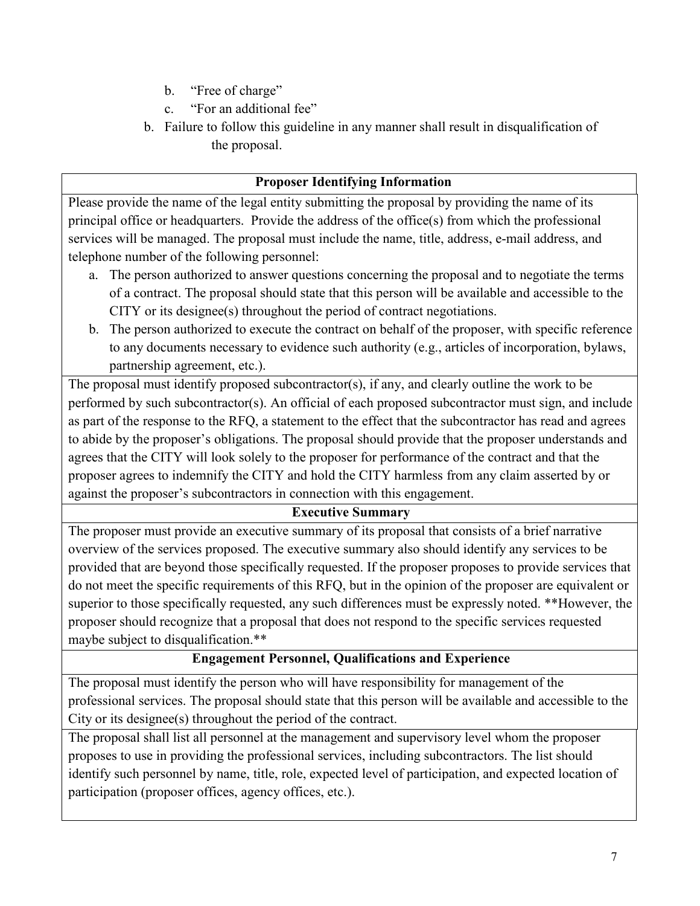- b. "Free of charge"
- c. "For an additional fee"
- b. Failure to follow this guideline in any manner shall result in disqualification of the proposal.

#### **Proposer Identifying Information**

Please provide the name of the legal entity submitting the proposal by providing the name of its principal office or headquarters. Provide the address of the office(s) from which the professional services will be managed. The proposal must include the name, title, address, e-mail address, and telephone number of the following personnel:

- a. The person authorized to answer questions concerning the proposal and to negotiate the terms of a contract. The proposal should state that this person will be available and accessible to the CITY or its designee(s) throughout the period of contract negotiations.
- b. The person authorized to execute the contract on behalf of the proposer, with specific reference to any documents necessary to evidence such authority (e.g., articles of incorporation, bylaws, partnership agreement, etc.).

The proposal must identify proposed subcontractor(s), if any, and clearly outline the work to be performed by such subcontractor(s). An official of each proposed subcontractor must sign, and include as part of the response to the RFQ, a statement to the effect that the subcontractor has read and agrees to abide by the proposer's obligations. The proposal should provide that the proposer understands and agrees that the CITY will look solely to the proposer for performance of the contract and that the proposer agrees to indemnify the CITY and hold the CITY harmless from any claim asserted by or against the proposer's subcontractors in connection with this engagement.

### **Executive Summary**

The proposer must provide an executive summary of its proposal that consists of a brief narrative overview of the services proposed. The executive summary also should identify any services to be provided that are beyond those specifically requested. If the proposer proposes to provide services that do not meet the specific requirements of this RFQ, but in the opinion of the proposer are equivalent or superior to those specifically requested, any such differences must be expressly noted. \*\*However, the proposer should recognize that a proposal that does not respond to the specific services requested maybe subject to disqualification.\*\*

### **Engagement Personnel, Qualifications and Experience**

The proposal must identify the person who will have responsibility for management of the professional services. The proposal should state that this person will be available and accessible to the City or its designee(s) throughout the period of the contract.

The proposal shall list all personnel at the management and supervisory level whom the proposer proposes to use in providing the professional services, including subcontractors. The list should identify such personnel by name, title, role, expected level of participation, and expected location of participation (proposer offices, agency offices, etc.).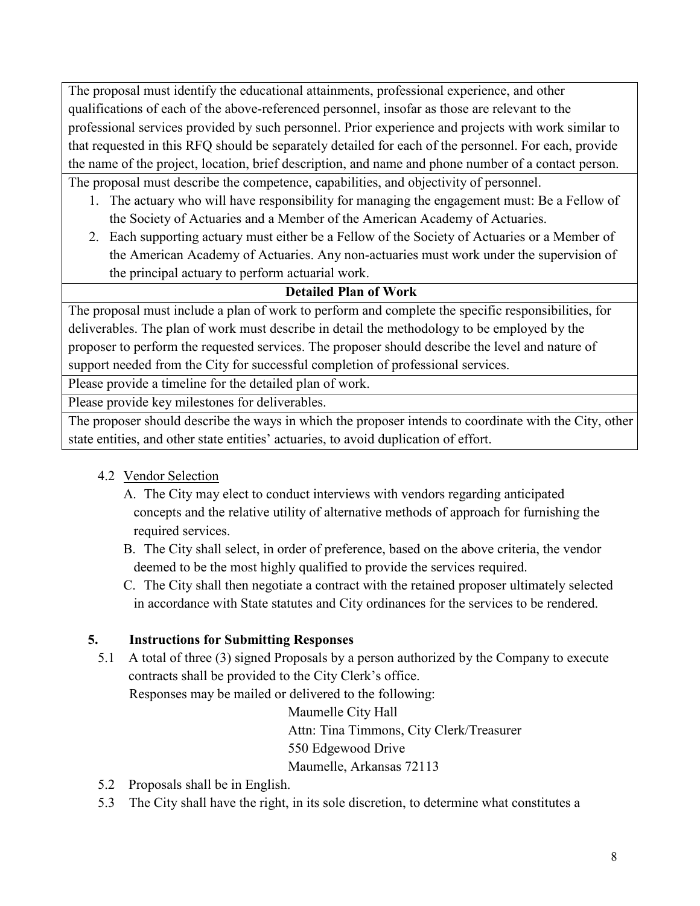The proposal must identify the educational attainments, professional experience, and other qualifications of each of the above-referenced personnel, insofar as those are relevant to the professional services provided by such personnel. Prior experience and projects with work similar to that requested in this RFQ should be separately detailed for each of the personnel. For each, provide the name of the project, location, brief description, and name and phone number of a contact person.

The proposal must describe the competence, capabilities, and objectivity of personnel.

- 1. The actuary who will have responsibility for managing the engagement must: Be a Fellow of the Society of Actuaries and a Member of the American Academy of Actuaries.
- 2. Each supporting actuary must either be a Fellow of the Society of Actuaries or a Member of the American Academy of Actuaries. Any non-actuaries must work under the supervision of the principal actuary to perform actuarial work.

### **Detailed Plan of Work**

The proposal must include a plan of work to perform and complete the specific responsibilities, for deliverables. The plan of work must describe in detail the methodology to be employed by the proposer to perform the requested services. The proposer should describe the level and nature of support needed from the City for successful completion of professional services.

Please provide a timeline for the detailed plan of work.

Please provide key milestones for deliverables.

The proposer should describe the ways in which the proposer intends to coordinate with the City, other state entities, and other state entities' actuaries, to avoid duplication of effort.

- 4.2 Vendor Selection
	- A. The City may elect to conduct interviews with vendors regarding anticipated concepts and the relative utility of alternative methods of approach for furnishing the required services.
	- B. The City shall select, in order of preference, based on the above criteria, the vendor deemed to be the most highly qualified to provide the services required.
	- C. The City shall then negotiate a contract with the retained proposer ultimately selected in accordance with State statutes and City ordinances for the services to be rendered.

# **5. Instructions for Submitting Responses**

5.1 A total of three (3) signed Proposals by a person authorized by the Company to execute contracts shall be provided to the City Clerk's office.

Responses may be mailed or delivered to the following:

Maumelle City Hall

Attn: Tina Timmons, City Clerk/Treasurer

550 Edgewood Drive

Maumelle, Arkansas 72113

- 5.2 Proposals shall be in English.
- 5.3 The City shall have the right, in its sole discretion, to determine what constitutes a